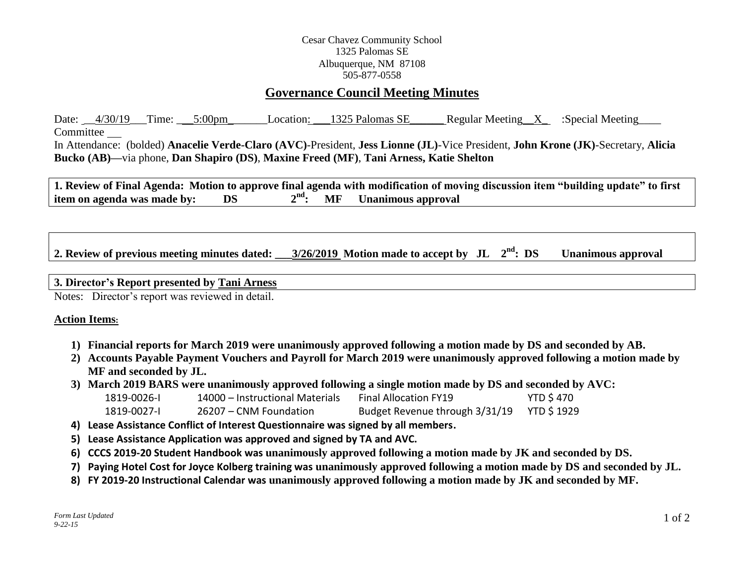### Cesar Chavez Community School 1325 Palomas SE Albuquerque, NM 87108 505-877-0558

# **Governance Council Meeting Minutes**

Date:  $\frac{4}{30/19}$  Time:  $\frac{5:00 \text{pm}}{20}$  Location:  $\frac{1325 \text{ Palomas SE}}{200 \text{mas} \text{ SE}}$  Regular Meeting X :Special Meeting Committee In Attendance: (bolded) **Anacelie Verde-Claro (AVC)**-President, **Jess Lionne (JL)**-Vice President, **John Krone (JK)**-Secretary, **Alicia Bucko (AB)—**via phone, **Dan Shapiro (DS)**, **Maxine Freed (MF)**, **Tani Arness, Katie Shelton**

**1. Review of Final Agenda: Motion to approve final agenda with modification of moving discussion item "building update" to first item on agenda was made by: DS 2 nd: MF Unanimous approval**

2. Review of previous meeting minutes dated:  $3/26/2019$  Motion made to accept by JL  $2<sup>nd</sup>$ : DS **Unanimous approval** 

#### **3. Director's Report presented by Tani Arness**

Notes: Director's report was reviewed in detail.

#### **Action Items:**

- **1) Financial reports for March 2019 were unanimously approved following a motion made by DS and seconded by AB.**
- **2) Accounts Payable Payment Vouchers and Payroll for March 2019 were unanimously approved following a motion made by MF and seconded by JL.**
- **3) March 2019 BARS were unanimously approved following a single motion made by DS and seconded by AVC:**

| 1819-0026-I | 14000 – Instructional Materials | Final Allocation FY19          | <b>YTD \$470</b>   |
|-------------|---------------------------------|--------------------------------|--------------------|
| 1819-0027-1 | 26207 – CNM Foundation          | Budget Revenue through 3/31/19 | <b>YTD \$ 1929</b> |

- **4) Lease Assistance Conflict of Interest Questionnaire was signed by all members.**
- **5) Lease Assistance Application was approved and signed by TA and AVC.**
- **6) CCCS 2019-20 Student Handbook was unanimously approved following a motion made by JK and seconded by DS.**
- **7) Paying Hotel Cost for Joyce Kolberg training was unanimously approved following a motion made by DS and seconded by JL.**
- **8) FY 2019-20 Instructional Calendar was unanimously approved following a motion made by JK and seconded by MF.**